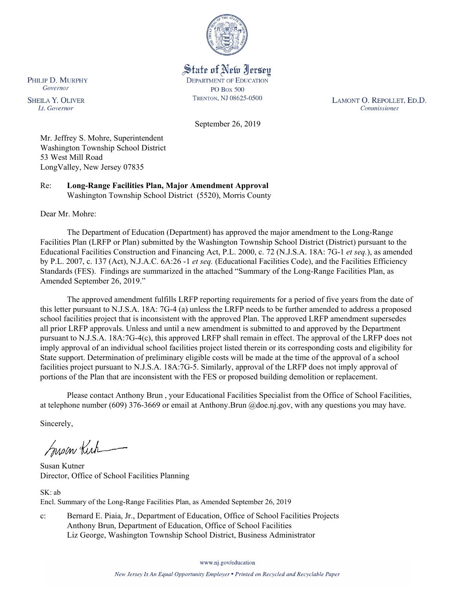

State of New Jersey **DEPARTMENT OF EDUCATION PO Box 500** TRENTON, NJ 08625-0500

LAMONT O. REPOLLET, ED.D. Commissioner

September 26, 2019

Mr. Jeffrey S. Mohre, Superintendent Washington Township School District 53 West Mill Road LongValley, New Jersey 07835

Re: **Long-Range Facilities Plan, Major Amendment Approval** Washington Township School District (5520), Morris County

Dear Mr. Mohre:

PHILIP D. MURPHY Governor

**SHEILA Y. OLIVER** 

Lt. Governor

The Department of Education (Department) has approved the major amendment to the Long-Range Facilities Plan (LRFP or Plan) submitted by the Washington Township School District (District) pursuant to the Educational Facilities Construction and Financing Act, P.L. 2000, c. 72 (N.J.S.A. 18A: 7G-1 *et seq.*), as amended by P.L. 2007, c. 137 (Act), N.J.A.C. 6A:26 -1 *et seq.* (Educational Facilities Code), and the Facilities Efficiency Standards (FES). Findings are summarized in the attached "Summary of the Long-Range Facilities Plan, as Amended September 26, 2019."

The approved amendment fulfills LRFP reporting requirements for a period of five years from the date of this letter pursuant to N.J.S.A. 18A: 7G-4 (a) unless the LRFP needs to be further amended to address a proposed school facilities project that is inconsistent with the approved Plan. The approved LRFP amendment supersedes all prior LRFP approvals. Unless and until a new amendment is submitted to and approved by the Department pursuant to N.J.S.A. 18A:7G-4(c), this approved LRFP shall remain in effect. The approval of the LRFP does not imply approval of an individual school facilities project listed therein or its corresponding costs and eligibility for State support. Determination of preliminary eligible costs will be made at the time of the approval of a school facilities project pursuant to N.J.S.A. 18A:7G-5. Similarly, approval of the LRFP does not imply approval of portions of the Plan that are inconsistent with the FES or proposed building demolition or replacement.

Please contact Anthony Brun , your Educational Facilities Specialist from the Office of School Facilities, at telephone number (609) 376-3669 or email at Anthony.Brun @doe.nj.gov, with any questions you may have.

Sincerely,

Susan Kich

Susan Kutner Director, Office of School Facilities Planning

SK: ab Encl. Summary of the Long-Range Facilities Plan, as Amended September 26, 2019

c: Bernard E. Piaia, Jr., Department of Education, Office of School Facilities Projects Anthony Brun, Department of Education, Office of School Facilities Liz George, Washington Township School District, Business Administrator

www.nj.gov/education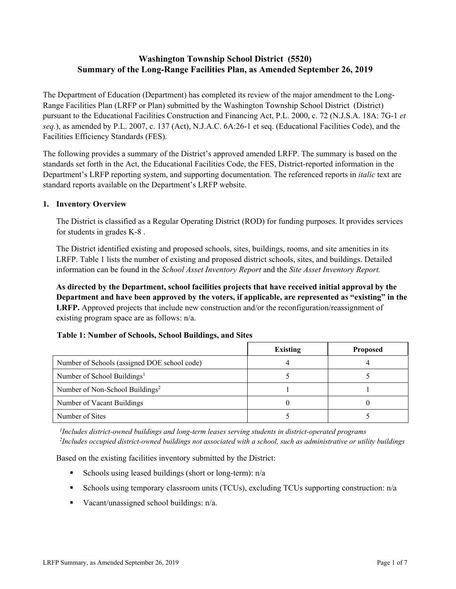# **Washington Township School District (5520) Summary of the Long-Range Facilities Plan, as Amended September 26, 2019**

The Department of Education (Department) has completed its review of the major amendment to the Long-Range Facilities Plan (LRFP or Plan) submitted by the Washington Township School District (District) pursuant to the Educational Facilities Construction and Financing Act, P.L. 2000, c. 72 (N.J.S.A. 18A: 7G-1 *et seq.*), as amended by P.L. 2007, c. 137 (Act), N.J.A.C. 6A:26-1 et seq. (Educational Facilities Code), and the Facilities Efficiency Standards (FES).

The following provides a summary of the District's approved amended LRFP. The summary is based on the standards set forth in the Act, the Educational Facilities Code, the FES, District-reported information in the Department's LRFP reporting system, and supporting documentation. The referenced reports in *italic* text are standard reports available on the Department's LRFP website.

### **1. Inventory Overview**

The District is classified as a Regular Operating District (ROD) for funding purposes. It provides services for students in grades K-8 .

The District identified existing and proposed schools, sites, buildings, rooms, and site amenities in its LRFP. Table 1 lists the number of existing and proposed district schools, sites, and buildings. Detailed information can be found in the *School Asset Inventory Report* and the *Site Asset Inventory Report.*

**As directed by the Department, school facilities projects that have received initial approval by the Department and have been approved by the voters, if applicable, are represented as "existing" in the LRFP.** Approved projects that include new construction and/or the reconfiguration/reassignment of existing program space are as follows: n/a.

### **Table 1: Number of Schools, School Buildings, and Sites**

|                                              | <b>Existing</b> | <b>Proposed</b> |
|----------------------------------------------|-----------------|-----------------|
| Number of Schools (assigned DOE school code) |                 |                 |
| Number of School Buildings <sup>1</sup>      |                 |                 |
| Number of Non-School Buildings <sup>2</sup>  |                 |                 |
| Number of Vacant Buildings                   |                 |                 |
| Number of Sites                              |                 |                 |

*1 Includes district-owned buildings and long-term leases serving students in district-operated programs 2 Includes occupied district-owned buildings not associated with a school, such as administrative or utility buildings*

Based on the existing facilities inventory submitted by the District:

- Schools using leased buildings (short or long-term):  $n/a$
- Schools using temporary classroom units (TCUs), excluding TCUs supporting construction: n/a
- Vacant/unassigned school buildings:  $n/a$ .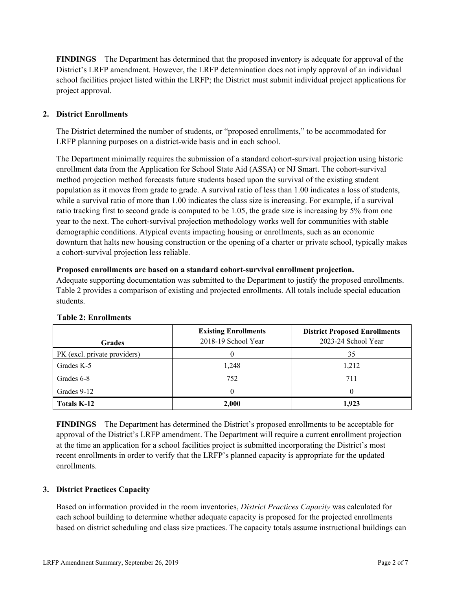**FINDINGS** The Department has determined that the proposed inventory is adequate for approval of the District's LRFP amendment. However, the LRFP determination does not imply approval of an individual school facilities project listed within the LRFP; the District must submit individual project applications for project approval.

# **2. District Enrollments**

The District determined the number of students, or "proposed enrollments," to be accommodated for LRFP planning purposes on a district-wide basis and in each school.

The Department minimally requires the submission of a standard cohort-survival projection using historic enrollment data from the Application for School State Aid (ASSA) or NJ Smart. The cohort-survival method projection method forecasts future students based upon the survival of the existing student population as it moves from grade to grade. A survival ratio of less than 1.00 indicates a loss of students, while a survival ratio of more than 1.00 indicates the class size is increasing. For example, if a survival ratio tracking first to second grade is computed to be 1.05, the grade size is increasing by 5% from one year to the next. The cohort-survival projection methodology works well for communities with stable demographic conditions. Atypical events impacting housing or enrollments, such as an economic downturn that halts new housing construction or the opening of a charter or private school, typically makes a cohort-survival projection less reliable.

### **Proposed enrollments are based on a standard cohort-survival enrollment projection.**

Adequate supporting documentation was submitted to the Department to justify the proposed enrollments. Table 2 provides a comparison of existing and projected enrollments. All totals include special education students.

| <b>Grades</b>                | <b>Existing Enrollments</b><br>2018-19 School Year | <b>District Proposed Enrollments</b><br>2023-24 School Year |
|------------------------------|----------------------------------------------------|-------------------------------------------------------------|
| PK (excl. private providers) |                                                    | 35                                                          |
| Grades K-5                   | 1,248                                              | 1,212                                                       |
| Grades 6-8                   | 752                                                | 711                                                         |
| Grades 9-12                  |                                                    |                                                             |
| <b>Totals K-12</b>           | 2,000                                              | 1.923                                                       |

### **Table 2: Enrollments**

**FINDINGS** The Department has determined the District's proposed enrollments to be acceptable for approval of the District's LRFP amendment. The Department will require a current enrollment projection at the time an application for a school facilities project is submitted incorporating the District's most recent enrollments in order to verify that the LRFP's planned capacity is appropriate for the updated enrollments.

### **3. District Practices Capacity**

Based on information provided in the room inventories, *District Practices Capacity* was calculated for each school building to determine whether adequate capacity is proposed for the projected enrollments based on district scheduling and class size practices. The capacity totals assume instructional buildings can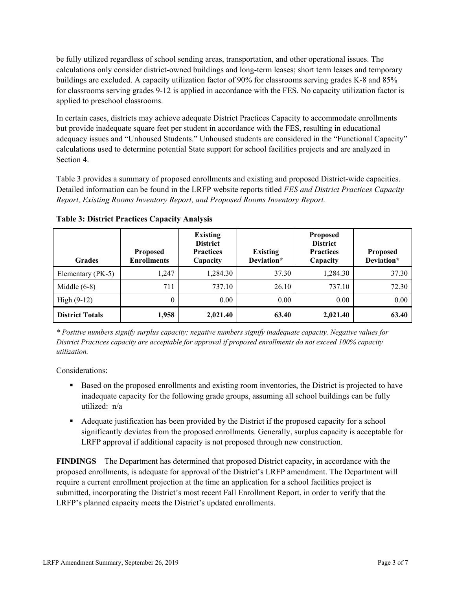be fully utilized regardless of school sending areas, transportation, and other operational issues. The calculations only consider district-owned buildings and long-term leases; short term leases and temporary buildings are excluded. A capacity utilization factor of 90% for classrooms serving grades K-8 and 85% for classrooms serving grades 9-12 is applied in accordance with the FES. No capacity utilization factor is applied to preschool classrooms.

In certain cases, districts may achieve adequate District Practices Capacity to accommodate enrollments but provide inadequate square feet per student in accordance with the FES, resulting in educational adequacy issues and "Unhoused Students." Unhoused students are considered in the "Functional Capacity" calculations used to determine potential State support for school facilities projects and are analyzed in Section 4.

Table 3 provides a summary of proposed enrollments and existing and proposed District-wide capacities. Detailed information can be found in the LRFP website reports titled *FES and District Practices Capacity Report, Existing Rooms Inventory Report, and Proposed Rooms Inventory Report.*

| <b>Grades</b>          | <b>Proposed</b><br><b>Enrollments</b> | <b>Existing</b><br><b>District</b><br><b>Practices</b><br>Capacity | <b>Existing</b><br>Deviation* | <b>Proposed</b><br><b>District</b><br><b>Practices</b><br>Capacity | <b>Proposed</b><br>Deviation* |
|------------------------|---------------------------------------|--------------------------------------------------------------------|-------------------------------|--------------------------------------------------------------------|-------------------------------|
| Elementary (PK-5)      | 1.247                                 | 1,284.30                                                           | 37.30                         | 1,284.30                                                           | 37.30                         |
| Middle $(6-8)$         | 711                                   | 737.10                                                             | 26.10                         | 737.10                                                             | 72.30                         |
| High $(9-12)$          | $\theta$                              | 0.00                                                               | 0.00                          | 0.00                                                               | 0.00                          |
| <b>District Totals</b> | 1,958                                 | 2,021.40                                                           | 63.40                         | 2,021.40                                                           | 63.40                         |

**Table 3: District Practices Capacity Analysis**

*\* Positive numbers signify surplus capacity; negative numbers signify inadequate capacity. Negative values for District Practices capacity are acceptable for approval if proposed enrollments do not exceed 100% capacity utilization.*

Considerations:

- Based on the proposed enrollments and existing room inventories, the District is projected to have inadequate capacity for the following grade groups, assuming all school buildings can be fully utilized: n/a
- Adequate justification has been provided by the District if the proposed capacity for a school significantly deviates from the proposed enrollments. Generally, surplus capacity is acceptable for LRFP approval if additional capacity is not proposed through new construction.

**FINDINGS**The Department has determined that proposed District capacity, in accordance with the proposed enrollments, is adequate for approval of the District's LRFP amendment. The Department will require a current enrollment projection at the time an application for a school facilities project is submitted, incorporating the District's most recent Fall Enrollment Report, in order to verify that the LRFP's planned capacity meets the District's updated enrollments.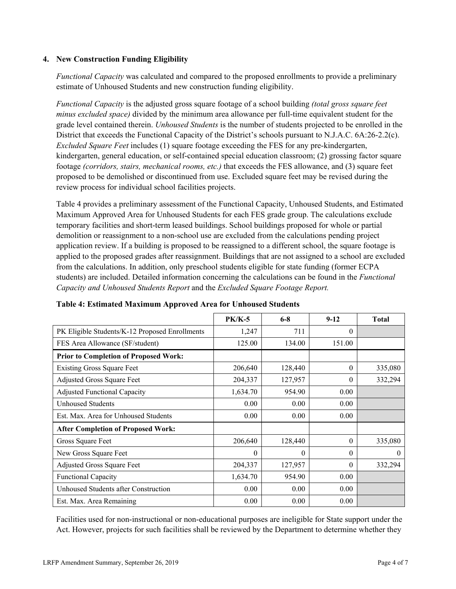### **4. New Construction Funding Eligibility**

*Functional Capacity* was calculated and compared to the proposed enrollments to provide a preliminary estimate of Unhoused Students and new construction funding eligibility.

*Functional Capacity* is the adjusted gross square footage of a school building *(total gross square feet minus excluded space)* divided by the minimum area allowance per full-time equivalent student for the grade level contained therein. *Unhoused Students* is the number of students projected to be enrolled in the District that exceeds the Functional Capacity of the District's schools pursuant to N.J.A.C. 6A:26-2.2(c). *Excluded Square Feet* includes (1) square footage exceeding the FES for any pre-kindergarten, kindergarten, general education, or self-contained special education classroom; (2) grossing factor square footage *(corridors, stairs, mechanical rooms, etc.)* that exceeds the FES allowance, and (3) square feet proposed to be demolished or discontinued from use. Excluded square feet may be revised during the review process for individual school facilities projects.

Table 4 provides a preliminary assessment of the Functional Capacity, Unhoused Students, and Estimated Maximum Approved Area for Unhoused Students for each FES grade group. The calculations exclude temporary facilities and short-term leased buildings. School buildings proposed for whole or partial demolition or reassignment to a non-school use are excluded from the calculations pending project application review. If a building is proposed to be reassigned to a different school, the square footage is applied to the proposed grades after reassignment. Buildings that are not assigned to a school are excluded from the calculations. In addition, only preschool students eligible for state funding (former ECPA students) are included. Detailed information concerning the calculations can be found in the *Functional Capacity and Unhoused Students Report* and the *Excluded Square Footage Report.*

|                                                | $PK/K-5$ | $6 - 8$  | $9-12$   | <b>Total</b> |
|------------------------------------------------|----------|----------|----------|--------------|
| PK Eligible Students/K-12 Proposed Enrollments | 1,247    | 711      | $\Omega$ |              |
| FES Area Allowance (SF/student)                | 125.00   | 134.00   | 151.00   |              |
| <b>Prior to Completion of Proposed Work:</b>   |          |          |          |              |
| <b>Existing Gross Square Feet</b>              | 206,640  | 128,440  | $\theta$ | 335,080      |
| Adjusted Gross Square Feet                     | 204,337  | 127,957  | $\theta$ | 332,294      |
| <b>Adjusted Functional Capacity</b>            | 1,634.70 | 954.90   | 0.00     |              |
| <b>Unhoused Students</b>                       | 0.00     | 0.00     | 0.00     |              |
| Est. Max. Area for Unhoused Students           | 0.00     | 0.00     | 0.00     |              |
| <b>After Completion of Proposed Work:</b>      |          |          |          |              |
| Gross Square Feet                              | 206,640  | 128,440  | $\theta$ | 335,080      |
| New Gross Square Feet                          | 0        | $\theta$ | $\theta$ | $\theta$     |
| <b>Adjusted Gross Square Feet</b>              | 204,337  | 127,957  | $\theta$ | 332,294      |
| <b>Functional Capacity</b>                     | 1,634.70 | 954.90   | 0.00     |              |
| Unhoused Students after Construction           | 0.00     | 0.00     | 0.00     |              |
| Est. Max. Area Remaining                       | 0.00     | 0.00     | 0.00     |              |

### **Table 4: Estimated Maximum Approved Area for Unhoused Students**

Facilities used for non-instructional or non-educational purposes are ineligible for State support under the Act. However, projects for such facilities shall be reviewed by the Department to determine whether they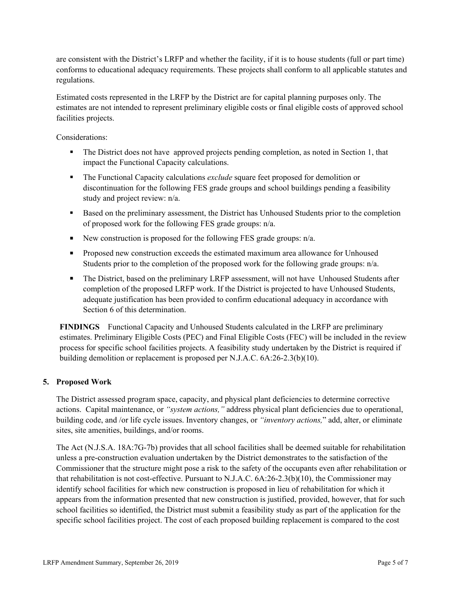are consistent with the District's LRFP and whether the facility, if it is to house students (full or part time) conforms to educational adequacy requirements. These projects shall conform to all applicable statutes and regulations.

Estimated costs represented in the LRFP by the District are for capital planning purposes only. The estimates are not intended to represent preliminary eligible costs or final eligible costs of approved school facilities projects.

Considerations:

- The District does not have approved projects pending completion, as noted in Section 1, that impact the Functional Capacity calculations.
- The Functional Capacity calculations *exclude* square feet proposed for demolition or discontinuation for the following FES grade groups and school buildings pending a feasibility study and project review: n/a.
- Based on the preliminary assessment, the District has Unhoused Students prior to the completion of proposed work for the following FES grade groups: n/a.
- New construction is proposed for the following FES grade groups:  $n/a$ .
- **Proposed new construction exceeds the estimated maximum area allowance for Unhoused** Students prior to the completion of the proposed work for the following grade groups: n/a.
- The District, based on the preliminary LRFP assessment, will not have Unhoused Students after completion of the proposed LRFP work. If the District is projected to have Unhoused Students, adequate justification has been provided to confirm educational adequacy in accordance with Section 6 of this determination.

**FINDINGS** Functional Capacity and Unhoused Students calculated in the LRFP are preliminary estimates. Preliminary Eligible Costs (PEC) and Final Eligible Costs (FEC) will be included in the review process for specific school facilities projects. A feasibility study undertaken by the District is required if building demolition or replacement is proposed per N.J.A.C. 6A:26-2.3(b)(10).

### **5. Proposed Work**

The District assessed program space, capacity, and physical plant deficiencies to determine corrective actions. Capital maintenance, or *"system actions,"* address physical plant deficiencies due to operational, building code, and /or life cycle issues. Inventory changes, or *"inventory actions,*" add, alter, or eliminate sites, site amenities, buildings, and/or rooms.

The Act (N.J.S.A. 18A:7G-7b) provides that all school facilities shall be deemed suitable for rehabilitation unless a pre-construction evaluation undertaken by the District demonstrates to the satisfaction of the Commissioner that the structure might pose a risk to the safety of the occupants even after rehabilitation or that rehabilitation is not cost-effective. Pursuant to N.J.A.C. 6A:26-2.3(b)(10), the Commissioner may identify school facilities for which new construction is proposed in lieu of rehabilitation for which it appears from the information presented that new construction is justified, provided, however, that for such school facilities so identified, the District must submit a feasibility study as part of the application for the specific school facilities project. The cost of each proposed building replacement is compared to the cost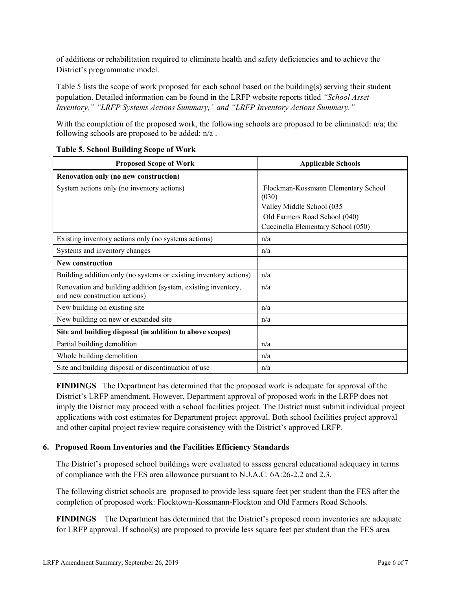of additions or rehabilitation required to eliminate health and safety deficiencies and to achieve the District's programmatic model.

Table 5 lists the scope of work proposed for each school based on the building(s) serving their student population. Detailed information can be found in the LRFP website reports titled *"School Asset Inventory," "LRFP Systems Actions Summary," and "LRFP Inventory Actions Summary."*

With the completion of the proposed work, the following schools are proposed to be eliminated:  $n/a$ ; the following schools are proposed to be added: n/a .

| <b>Proposed Scope of Work</b>                                                                  | <b>Applicable Schools</b>                                                                                                                        |
|------------------------------------------------------------------------------------------------|--------------------------------------------------------------------------------------------------------------------------------------------------|
| Renovation only (no new construction)                                                          |                                                                                                                                                  |
| System actions only (no inventory actions)                                                     | Flockman-Kossmann Elementary School<br>(030)<br>Valley Middle School (035<br>Old Farmers Road School (040)<br>Cuccinella Elementary School (050) |
| Existing inventory actions only (no systems actions)                                           | n/a                                                                                                                                              |
| Systems and inventory changes                                                                  | n/a                                                                                                                                              |
| <b>New construction</b>                                                                        |                                                                                                                                                  |
| Building addition only (no systems or existing inventory actions)                              | n/a                                                                                                                                              |
| Renovation and building addition (system, existing inventory,<br>and new construction actions) | n/a                                                                                                                                              |
| New building on existing site                                                                  | n/a                                                                                                                                              |
| New building on new or expanded site                                                           | n/a                                                                                                                                              |
| Site and building disposal (in addition to above scopes)                                       |                                                                                                                                                  |
| Partial building demolition                                                                    | n/a                                                                                                                                              |
| Whole building demolition                                                                      | n/a                                                                                                                                              |
| Site and building disposal or discontinuation of use                                           | n/a                                                                                                                                              |

### **Table 5. School Building Scope of Work**

**FINDINGS** The Department has determined that the proposed work is adequate for approval of the District's LRFP amendment. However, Department approval of proposed work in the LRFP does not imply the District may proceed with a school facilities project. The District must submit individual project applications with cost estimates for Department project approval. Both school facilities project approval and other capital project review require consistency with the District's approved LRFP.

# **6. Proposed Room Inventories and the Facilities Efficiency Standards**

The District's proposed school buildings were evaluated to assess general educational adequacy in terms of compliance with the FES area allowance pursuant to N.J.A.C. 6A:26-2.2 and 2.3.

The following district schools are proposed to provide less square feet per student than the FES after the completion of proposed work: Flocktown-Kossmann-Flockton and Old Farmers Road Schools.

**FINDINGS** The Department has determined that the District's proposed room inventories are adequate for LRFP approval. If school(s) are proposed to provide less square feet per student than the FES area